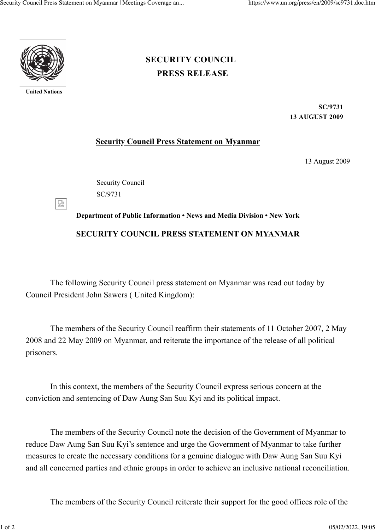

**United Nations**

## **[PRESS RELEASE](https://www.un.org/press/en/press-release) [SECURITY COUNCIL](https://www.un.org/press/en/security-council)**

**SC/9731 13 AUGUST 2009**

## **Security Council Press Statement on Myanmar**

13 August 2009

Security Council SC/9731

덣

## **Department of Public Information • News and Media Division • New York SECURITY COUNCIL PRESS STATEMENT ON MYANMAR**

The following Security Council press statement on Myanmar was read out today by Council President John Sawers ( United Kingdom):

The members of the Security Council reaffirm their statements of 11 October 2007, 2 May 2008 and 22 May 2009 on Myanmar, and reiterate the importance of the release of all political prisoners.

In this context, the members of the Security Council express serious concern at the conviction and sentencing of Daw Aung San Suu Kyi and its political impact.

The members of the Security Council note the decision of the Government of Myanmar to reduce Daw Aung San Suu Kyi's sentence and urge the Government of Myanmar to take further measures to create the necessary conditions for a genuine dialogue with Daw Aung San Suu Kyi and all concerned parties and ethnic groups in order to achieve an inclusive national reconciliation.

The members of the Security Council reiterate their support for the good offices role of the